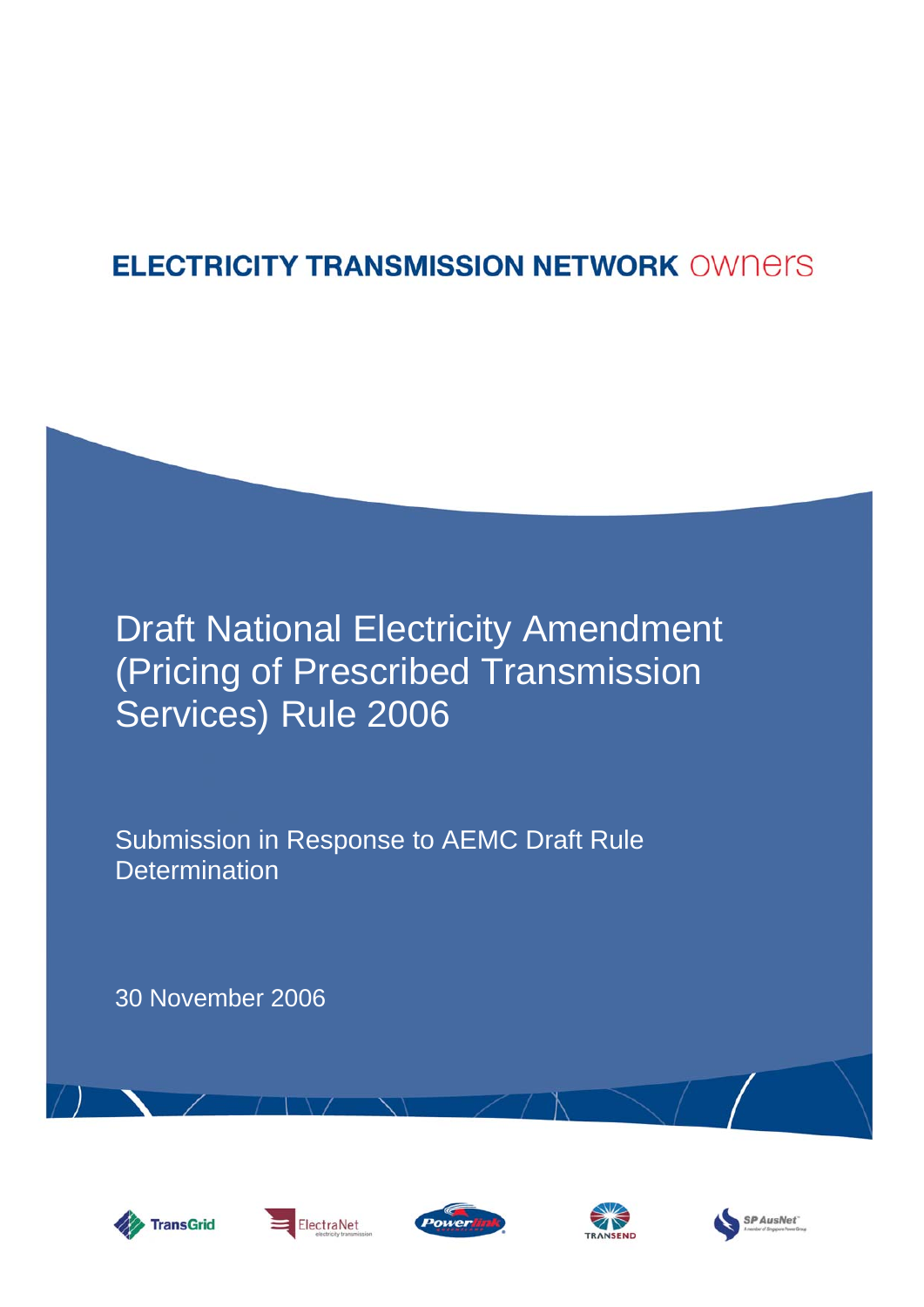## **ELECTRICITY TRANSMISSION NETWORK OWNERS**

# Draft National Electricity Amendment (Pricing of Prescribed Transmission Services) Rule 2006

Submission in Response to AEMC Draft Rule **Determination** 

30 November 2006









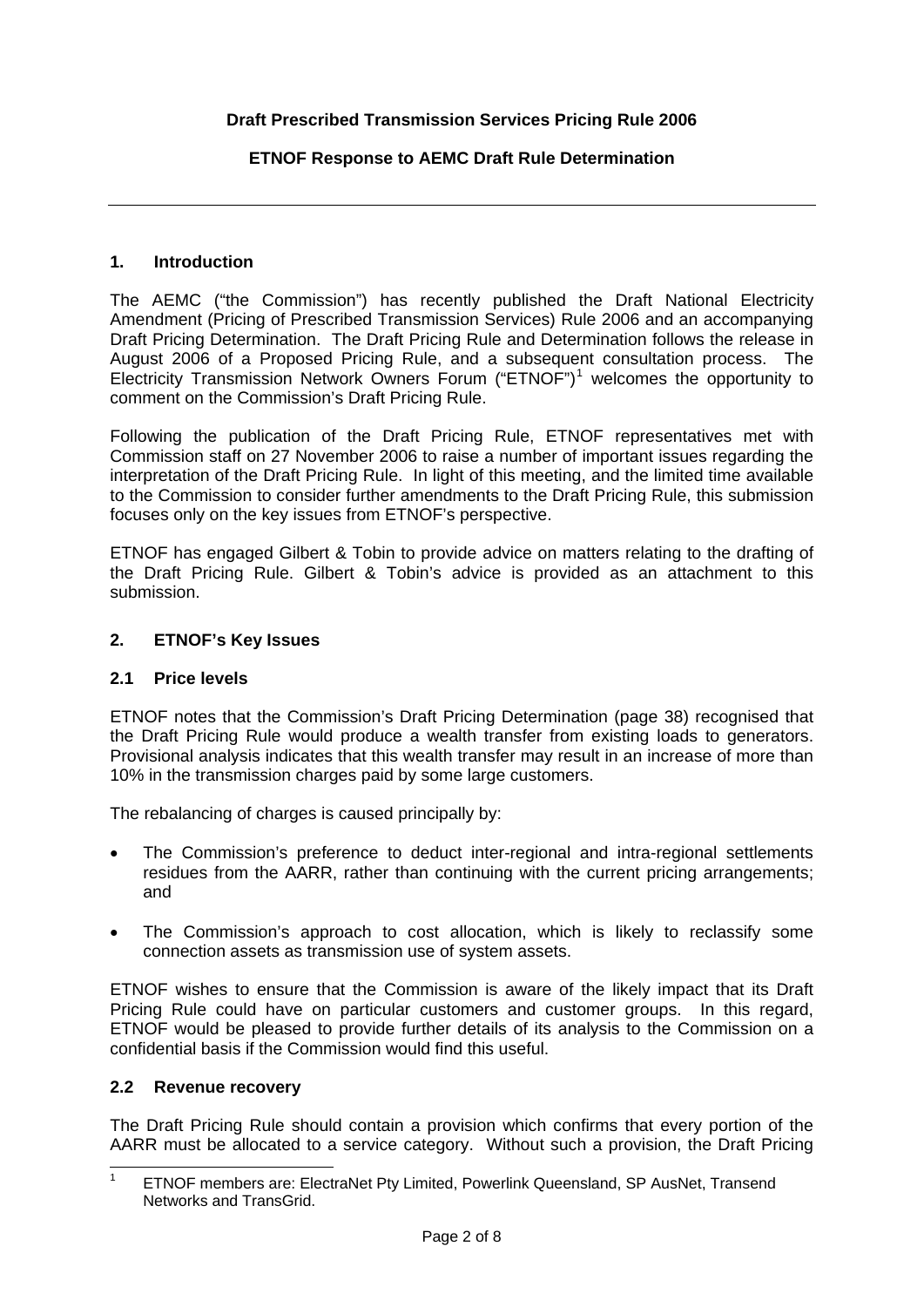#### **Draft Prescribed Transmission Services Pricing Rule 2006**

#### **ETNOF Response to AEMC Draft Rule Determination**

#### **1. Introduction**

The AEMC ("the Commission") has recently published the Draft National Electricity Amendment (Pricing of Prescribed Transmission Services) Rule 2006 and an accompanying Draft Pricing Determination. The Draft Pricing Rule and Determination follows the release in August 2006 of a Proposed Pricing Rule, and a subsequent consultation process. The Electricity Transmission Network Owners Forum ("ETNOF")<sup>[1](#page-1-0)</sup> welcomes the opportunity to comment on the Commission's Draft Pricing Rule.

Following the publication of the Draft Pricing Rule, ETNOF representatives met with Commission staff on 27 November 2006 to raise a number of important issues regarding the interpretation of the Draft Pricing Rule. In light of this meeting, and the limited time available to the Commission to consider further amendments to the Draft Pricing Rule, this submission focuses only on the key issues from ETNOF's perspective.

ETNOF has engaged Gilbert & Tobin to provide advice on matters relating to the drafting of the Draft Pricing Rule. Gilbert & Tobin's advice is provided as an attachment to this submission.

#### **2. ETNOF's Key Issues**

#### **2.1 Price levels**

ETNOF notes that the Commission's Draft Pricing Determination (page 38) recognised that the Draft Pricing Rule would produce a wealth transfer from existing loads to generators. Provisional analysis indicates that this wealth transfer may result in an increase of more than 10% in the transmission charges paid by some large customers.

The rebalancing of charges is caused principally by:

- The Commission's preference to deduct inter-regional and intra-regional settlements residues from the AARR, rather than continuing with the current pricing arrangements; and
- The Commission's approach to cost allocation, which is likely to reclassify some connection assets as transmission use of system assets.

ETNOF wishes to ensure that the Commission is aware of the likely impact that its Draft Pricing Rule could have on particular customers and customer groups. In this regard, ETNOF would be pleased to provide further details of its analysis to the Commission on a confidential basis if the Commission would find this useful.

#### **2.2 Revenue recovery**

The Draft Pricing Rule should contain a provision which confirms that every portion of the AARR must be allocated to a service category. Without such a provision, the Draft Pricing

<span id="page-1-0"></span> $\frac{1}{1}$  ETNOF members are: ElectraNet Pty Limited, Powerlink Queensland, SP AusNet, Transend Networks and TransGrid.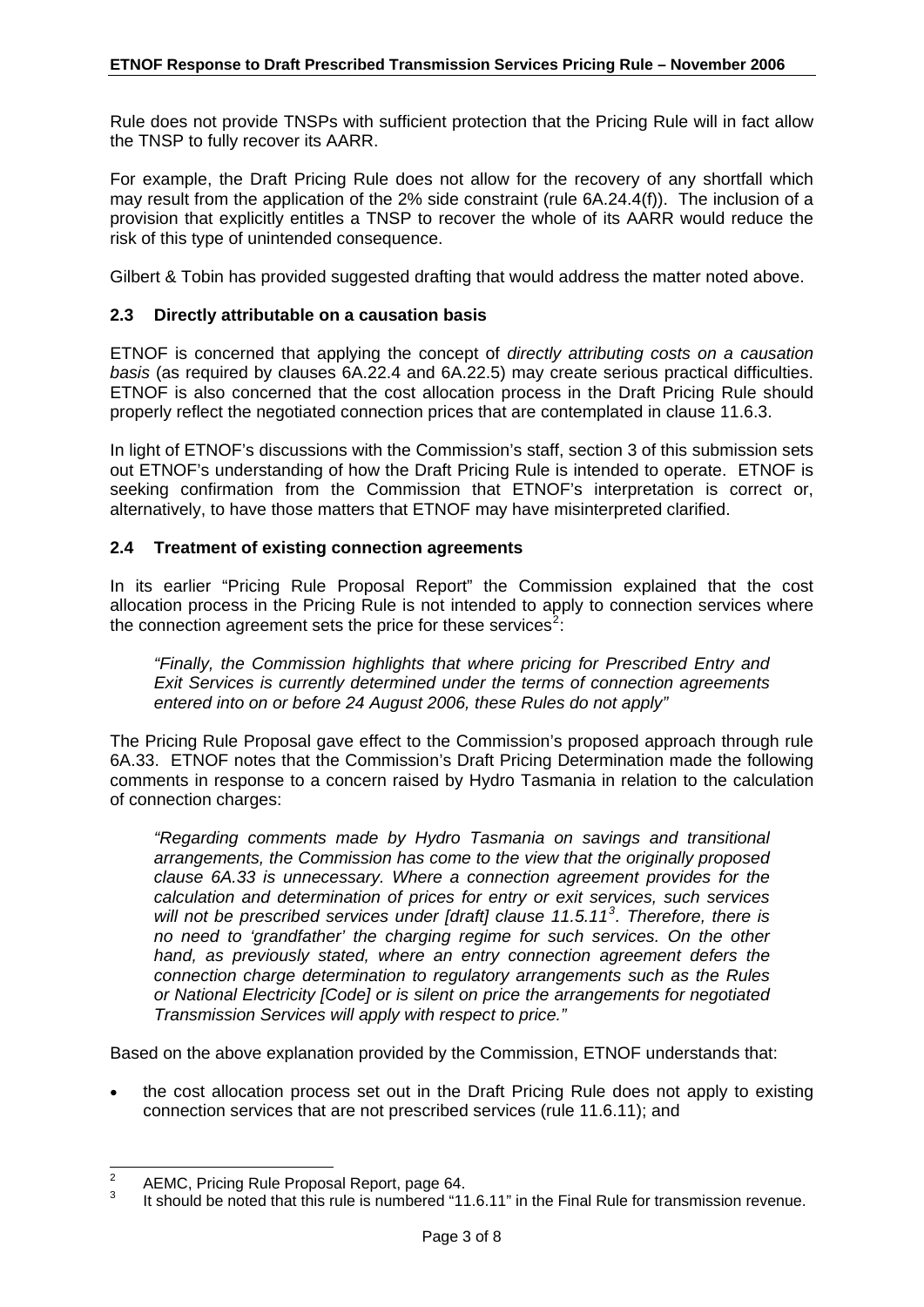<span id="page-2-0"></span>Rule does not provide TNSPs with sufficient protection that the Pricing Rule will in fact allow the TNSP to fully recover its AARR.

For example, the Draft Pricing Rule does not allow for the recovery of any shortfall which may result from the application of the 2% side constraint (rule 6A.24.4(f)). The inclusion of a provision that explicitly entitles a TNSP to recover the whole of its AARR would reduce the risk of this type of unintended consequence.

Gilbert & Tobin has provided suggested drafting that would address the matter noted above.

#### **2.3 Directly attributable on a causation basis**

ETNOF is concerned that applying the concept of *directly attributing costs on a causation basis* (as required by clauses 6A.22.4 and 6A.22.5) may create serious practical difficulties. ETNOF is also concerned that the cost allocation process in the Draft Pricing Rule should properly reflect the negotiated connection prices that are contemplated in clause 11.6.3.

In light of ETNOF's discussions with the Commission's staff, section 3 of this submission sets out ETNOF's understanding of how the Draft Pricing Rule is intended to operate. ETNOF is seeking confirmation from the Commission that ETNOF's interpretation is correct or, alternatively, to have those matters that ETNOF may have misinterpreted clarified.

#### **2.4 Treatment of existing connection agreements**

In its earlier "Pricing Rule Proposal Report" the Commission explained that the cost allocation process in the Pricing Rule is not intended to apply to connection services where the connection agreement sets the price for these services<sup>[2](#page-2-0)</sup>:

*"Finally, the Commission highlights that where pricing for Prescribed Entry and Exit Services is currently determined under the terms of connection agreements entered into on or before 24 August 2006, these Rules do not apply"* 

The Pricing Rule Proposal gave effect to the Commission's proposed approach through rule 6A.33. ETNOF notes that the Commission's Draft Pricing Determination made the following comments in response to a concern raised by Hydro Tasmania in relation to the calculation of connection charges:

*"Regarding comments made by Hydro Tasmania on savings and transitional arrangements, the Commission has come to the view that the originally proposed clause 6A.33 is unnecessary. Where a connection agreement provides for the calculation and determination of prices for entry or exit services, such services will not be prescribed services under [draft] clause 11.5.11[3](#page-2-0) . Therefore, there is no need to 'grandfather' the charging regime for such services. On the other hand, as previously stated, where an entry connection agreement defers the connection charge determination to regulatory arrangements such as the Rules or National Electricity [Code] or is silent on price the arrangements for negotiated Transmission Services will apply with respect to price."* 

Based on the above explanation provided by the Commission, ETNOF understands that:

• the cost allocation process set out in the Draft Pricing Rule does not apply to existing connection services that are not prescribed services (rule 11.6.11); and

 $\frac{1}{2}$ AEMC, Pricing Rule Proposal Report, page 64.

<sup>3</sup> It should be noted that this rule is numbered "11.6.11" in the Final Rule for transmission revenue.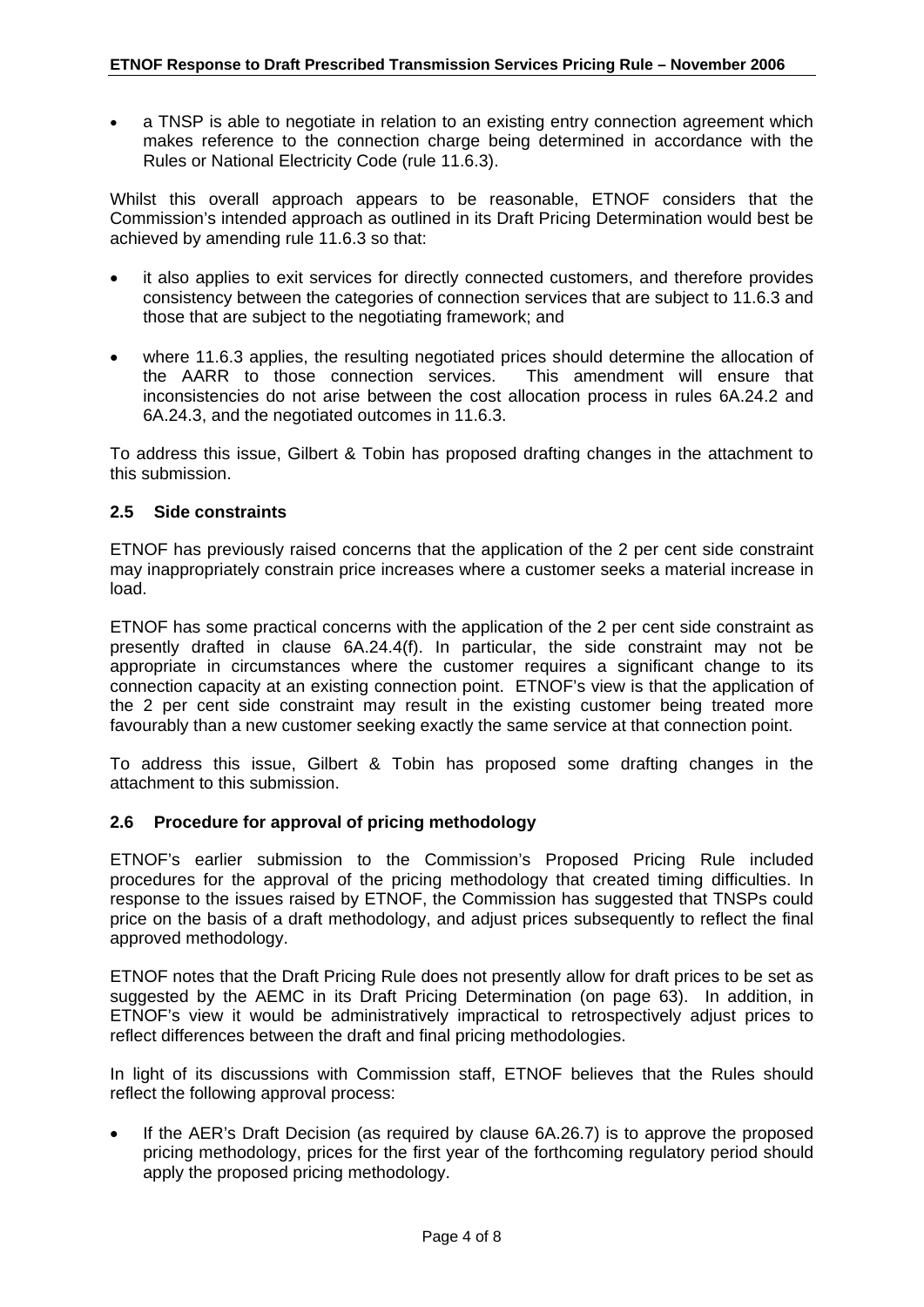a TNSP is able to negotiate in relation to an existing entry connection agreement which makes reference to the connection charge being determined in accordance with the Rules or National Electricity Code (rule 11.6.3).

Whilst this overall approach appears to be reasonable, ETNOF considers that the Commission's intended approach as outlined in its Draft Pricing Determination would best be achieved by amending rule 11.6.3 so that:

- it also applies to exit services for directly connected customers, and therefore provides consistency between the categories of connection services that are subject to 11.6.3 and those that are subject to the negotiating framework; and
- where 11.6.3 applies, the resulting negotiated prices should determine the allocation of the AARR to those connection services. This amendment will ensure that inconsistencies do not arise between the cost allocation process in rules 6A.24.2 and 6A.24.3, and the negotiated outcomes in 11.6.3.

To address this issue, Gilbert & Tobin has proposed drafting changes in the attachment to this submission.

#### **2.5 Side constraints**

ETNOF has previously raised concerns that the application of the 2 per cent side constraint may inappropriately constrain price increases where a customer seeks a material increase in load.

ETNOF has some practical concerns with the application of the 2 per cent side constraint as presently drafted in clause 6A.24.4(f). In particular, the side constraint may not be appropriate in circumstances where the customer requires a significant change to its connection capacity at an existing connection point. ETNOF's view is that the application of the 2 per cent side constraint may result in the existing customer being treated more favourably than a new customer seeking exactly the same service at that connection point.

To address this issue, Gilbert & Tobin has proposed some drafting changes in the attachment to this submission.

#### **2.6 Procedure for approval of pricing methodology**

ETNOF's earlier submission to the Commission's Proposed Pricing Rule included procedures for the approval of the pricing methodology that created timing difficulties. In response to the issues raised by ETNOF, the Commission has suggested that TNSPs could price on the basis of a draft methodology, and adjust prices subsequently to reflect the final approved methodology.

ETNOF notes that the Draft Pricing Rule does not presently allow for draft prices to be set as suggested by the AEMC in its Draft Pricing Determination (on page 63). In addition, in ETNOF's view it would be administratively impractical to retrospectively adjust prices to reflect differences between the draft and final pricing methodologies.

In light of its discussions with Commission staff, ETNOF believes that the Rules should reflect the following approval process:

If the AER's Draft Decision (as required by clause 6A.26.7) is to approve the proposed pricing methodology, prices for the first year of the forthcoming regulatory period should apply the proposed pricing methodology.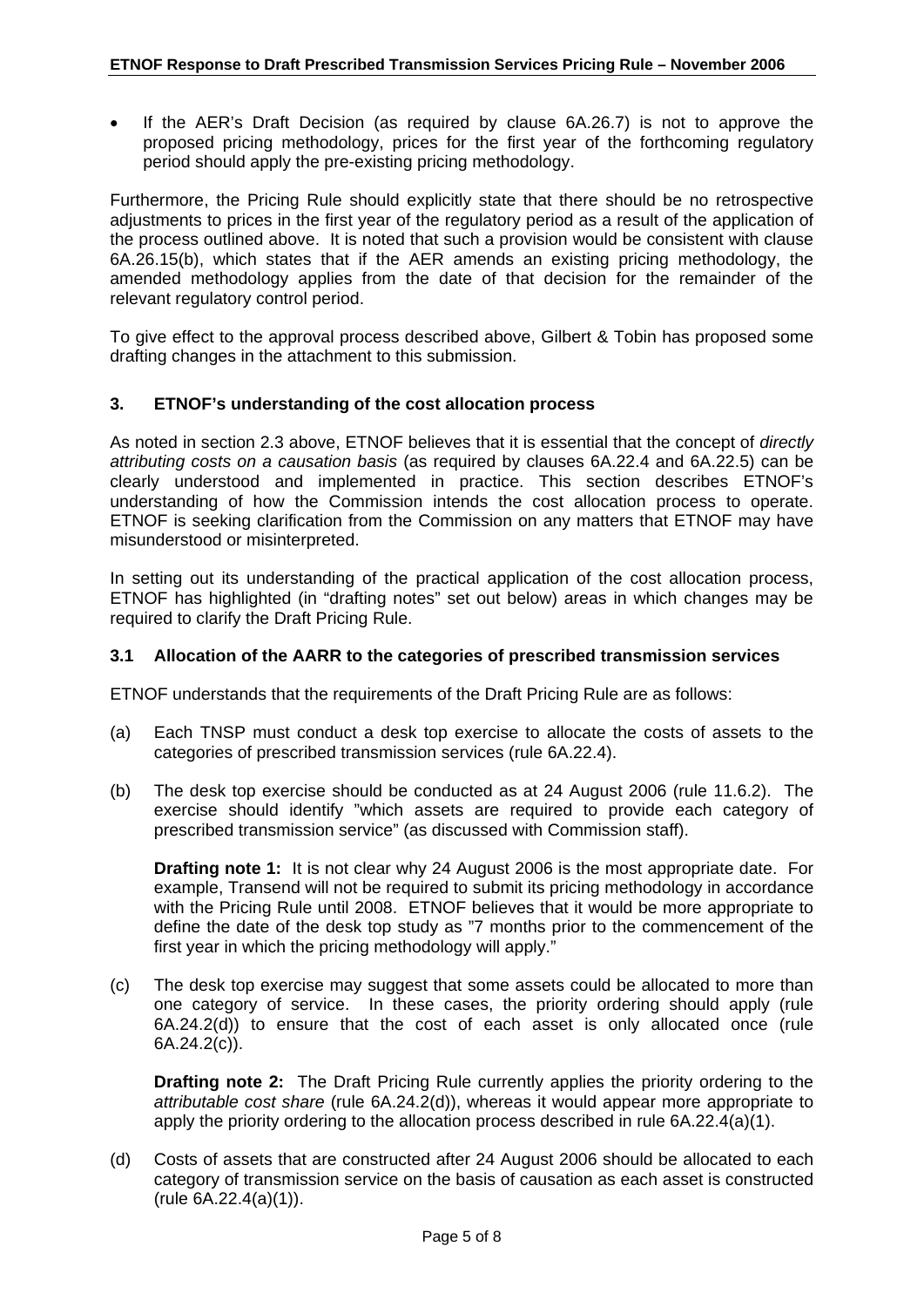If the AER's Draft Decision (as required by clause 6A.26.7) is not to approve the proposed pricing methodology, prices for the first year of the forthcoming regulatory period should apply the pre-existing pricing methodology.

Furthermore, the Pricing Rule should explicitly state that there should be no retrospective adjustments to prices in the first year of the regulatory period as a result of the application of the process outlined above. It is noted that such a provision would be consistent with clause 6A.26.15(b), which states that if the AER amends an existing pricing methodology, the amended methodology applies from the date of that decision for the remainder of the relevant regulatory control period.

To give effect to the approval process described above, Gilbert & Tobin has proposed some drafting changes in the attachment to this submission.

#### **3. ETNOF's understanding of the cost allocation process**

As noted in section 2.3 above, ETNOF believes that it is essential that the concept of *directly attributing costs on a causation basis* (as required by clauses 6A.22.4 and 6A.22.5) can be clearly understood and implemented in practice. This section describes ETNOF's understanding of how the Commission intends the cost allocation process to operate. ETNOF is seeking clarification from the Commission on any matters that ETNOF may have misunderstood or misinterpreted.

In setting out its understanding of the practical application of the cost allocation process, ETNOF has highlighted (in "drafting notes" set out below) areas in which changes may be required to clarify the Draft Pricing Rule.

#### **3.1 Allocation of the AARR to the categories of prescribed transmission services**

ETNOF understands that the requirements of the Draft Pricing Rule are as follows:

- (a) Each TNSP must conduct a desk top exercise to allocate the costs of assets to the categories of prescribed transmission services (rule 6A.22.4).
- (b) The desk top exercise should be conducted as at 24 August 2006 (rule 11.6.2). The exercise should identify "which assets are required to provide each category of prescribed transmission service" (as discussed with Commission staff).

**Drafting note 1:** It is not clear why 24 August 2006 is the most appropriate date. For example, Transend will not be required to submit its pricing methodology in accordance with the Pricing Rule until 2008. ETNOF believes that it would be more appropriate to define the date of the desk top study as "7 months prior to the commencement of the first year in which the pricing methodology will apply."

(c) The desk top exercise may suggest that some assets could be allocated to more than one category of service. In these cases, the priority ordering should apply (rule 6A.24.2(d)) to ensure that the cost of each asset is only allocated once (rule 6A.24.2(c)).

**Drafting note 2:** The Draft Pricing Rule currently applies the priority ordering to the *attributable cost share* (rule 6A.24.2(d)), whereas it would appear more appropriate to apply the priority ordering to the allocation process described in rule 6A.22.4(a)(1).

(d) Costs of assets that are constructed after 24 August 2006 should be allocated to each category of transmission service on the basis of causation as each asset is constructed (rule 6A.22.4(a)(1)).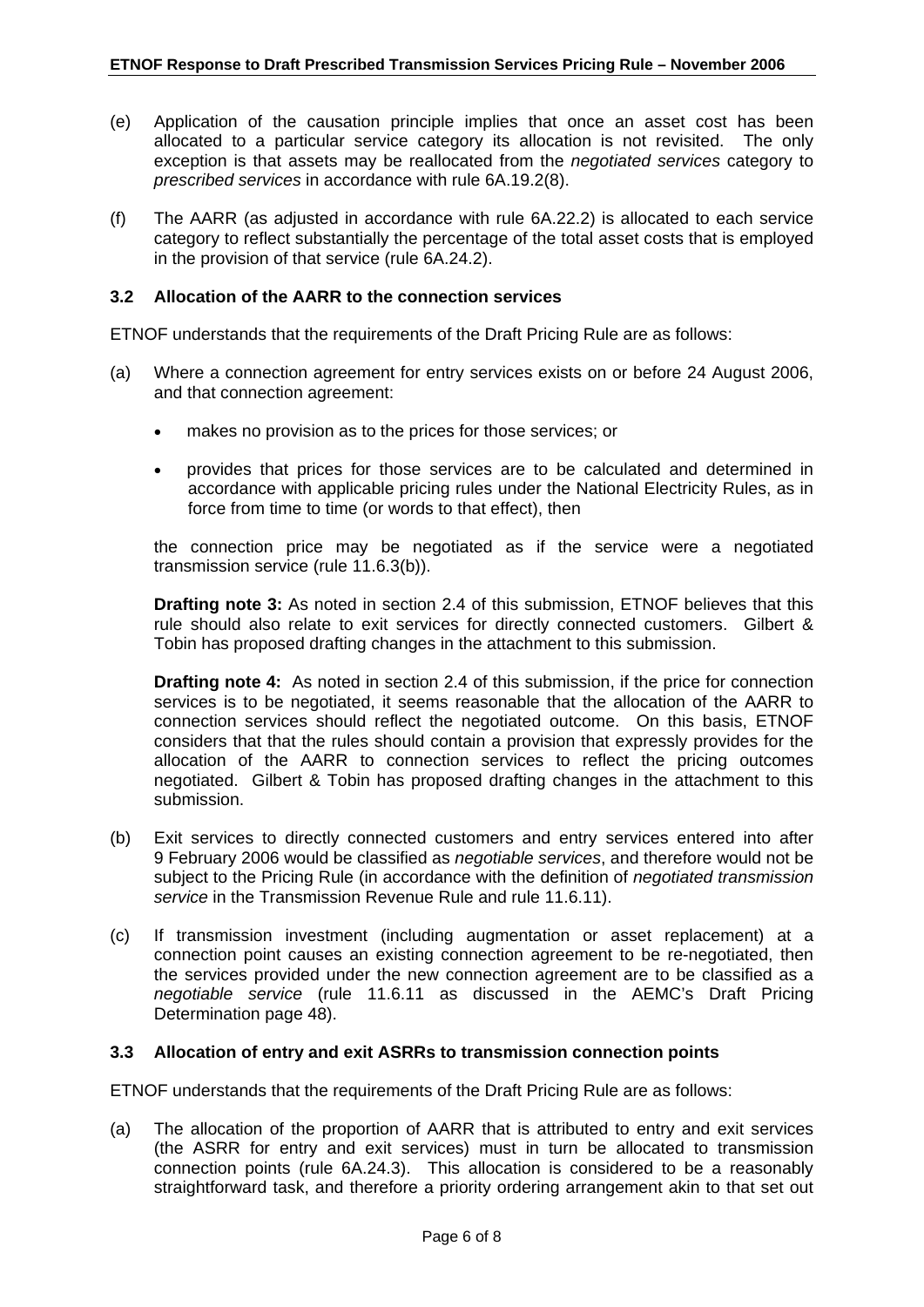- (e) Application of the causation principle implies that once an asset cost has been allocated to a particular service category its allocation is not revisited. The only exception is that assets may be reallocated from the *negotiated services* category to *prescribed services* in accordance with rule 6A.19.2(8).
- (f) The AARR (as adjusted in accordance with rule 6A.22.2) is allocated to each service category to reflect substantially the percentage of the total asset costs that is employed in the provision of that service (rule 6A.24.2).

#### **3.2 Allocation of the AARR to the connection services**

ETNOF understands that the requirements of the Draft Pricing Rule are as follows:

- (a) Where a connection agreement for entry services exists on or before 24 August 2006, and that connection agreement:
	- makes no provision as to the prices for those services; or
	- provides that prices for those services are to be calculated and determined in accordance with applicable pricing rules under the National Electricity Rules, as in force from time to time (or words to that effect), then

the connection price may be negotiated as if the service were a negotiated transmission service (rule 11.6.3(b)).

**Drafting note 3:** As noted in section 2.4 of this submission, ETNOF believes that this rule should also relate to exit services for directly connected customers. Gilbert & Tobin has proposed drafting changes in the attachment to this submission.

**Drafting note 4:** As noted in section 2.4 of this submission, if the price for connection services is to be negotiated, it seems reasonable that the allocation of the AARR to connection services should reflect the negotiated outcome. On this basis, ETNOF considers that that the rules should contain a provision that expressly provides for the allocation of the AARR to connection services to reflect the pricing outcomes negotiated. Gilbert & Tobin has proposed drafting changes in the attachment to this submission.

- (b) Exit services to directly connected customers and entry services entered into after 9 February 2006 would be classified as *negotiable services*, and therefore would not be subject to the Pricing Rule (in accordance with the definition of *negotiated transmission service* in the Transmission Revenue Rule and rule 11.6.11).
- (c) If transmission investment (including augmentation or asset replacement) at a connection point causes an existing connection agreement to be re-negotiated, then the services provided under the new connection agreement are to be classified as a *negotiable service* (rule 11.6.11 as discussed in the AEMC's Draft Pricing Determination page 48).

#### **3.3 Allocation of entry and exit ASRRs to transmission connection points**

ETNOF understands that the requirements of the Draft Pricing Rule are as follows:

(a) The allocation of the proportion of AARR that is attributed to entry and exit services (the ASRR for entry and exit services) must in turn be allocated to transmission connection points (rule 6A.24.3). This allocation is considered to be a reasonably straightforward task, and therefore a priority ordering arrangement akin to that set out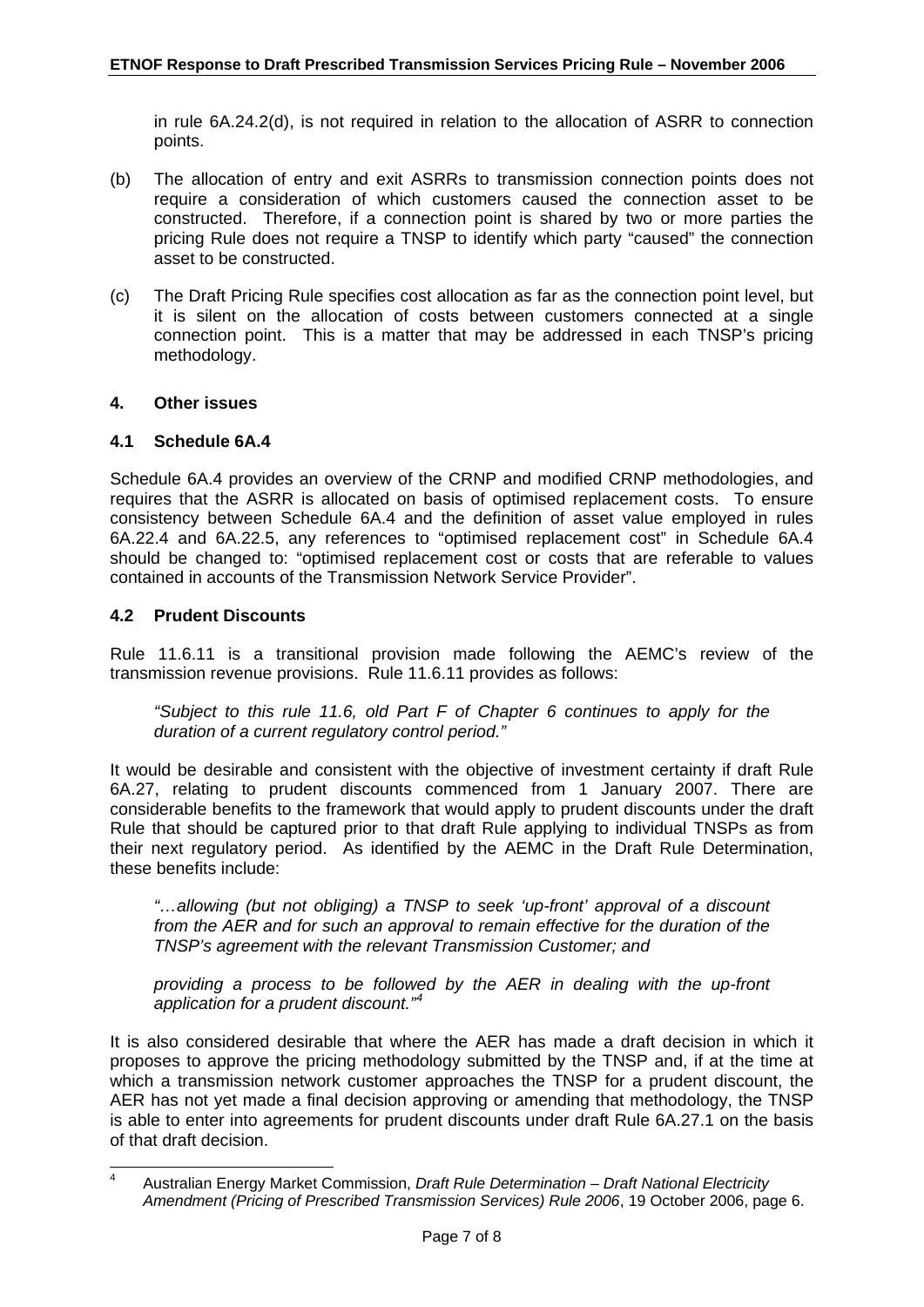<span id="page-6-0"></span>in rule 6A.24.2(d), is not required in relation to the allocation of ASRR to connection points.

- (b) The allocation of entry and exit ASRRs to transmission connection points does not require a consideration of which customers caused the connection asset to be constructed. Therefore, if a connection point is shared by two or more parties the pricing Rule does not require a TNSP to identify which party "caused" the connection asset to be constructed.
- (c) The Draft Pricing Rule specifies cost allocation as far as the connection point level, but it is silent on the allocation of costs between customers connected at a single connection point. This is a matter that may be addressed in each TNSP's pricing methodology.

#### **4. Other issues**

#### **4.1 Schedule 6A.4**

Schedule 6A.4 provides an overview of the CRNP and modified CRNP methodologies, and requires that the ASRR is allocated on basis of optimised replacement costs. To ensure consistency between Schedule 6A.4 and the definition of asset value employed in rules 6A.22.4 and 6A.22.5, any references to "optimised replacement cost" in Schedule 6A.4 should be changed to: "optimised replacement cost or costs that are referable to values contained in accounts of the Transmission Network Service Provider".

#### **4.2 Prudent Discounts**

Rule 11.6.11 is a transitional provision made following the AEMC's review of the transmission revenue provisions. Rule 11.6.11 provides as follows:

*"Subject to this rule 11.6, old Part F of Chapter 6 continues to apply for the duration of a current regulatory control period."* 

It would be desirable and consistent with the objective of investment certainty if draft Rule 6A.27, relating to prudent discounts commenced from 1 January 2007. There are considerable benefits to the framework that would apply to prudent discounts under the draft Rule that should be captured prior to that draft Rule applying to individual TNSPs as from their next regulatory period. As identified by the AEMC in the Draft Rule Determination, these benefits include:

*"…allowing (but not obliging) a TNSP to seek 'up-front' approval of a discount from the AER and for such an approval to remain effective for the duration of the TNSP's agreement with the relevant Transmission Customer; and* 

*providing a process to be followed by the AER in dealing with the up-front application for a prudent discount."[4](#page-6-0)*

It is also considered desirable that where the AER has made a draft decision in which it proposes to approve the pricing methodology submitted by the TNSP and, if at the time at which a transmission network customer approaches the TNSP for a prudent discount, the AER has not yet made a final decision approving or amending that methodology, the TNSP is able to enter into agreements for prudent discounts under draft Rule 6A.27.1 on the basis of that draft decision.

 $\frac{1}{4}$  Australian Energy Market Commission, *Draft Rule Determination – Draft National Electricity Amendment (Pricing of Prescribed Transmission Services) Rule 2006*, 19 October 2006, page 6.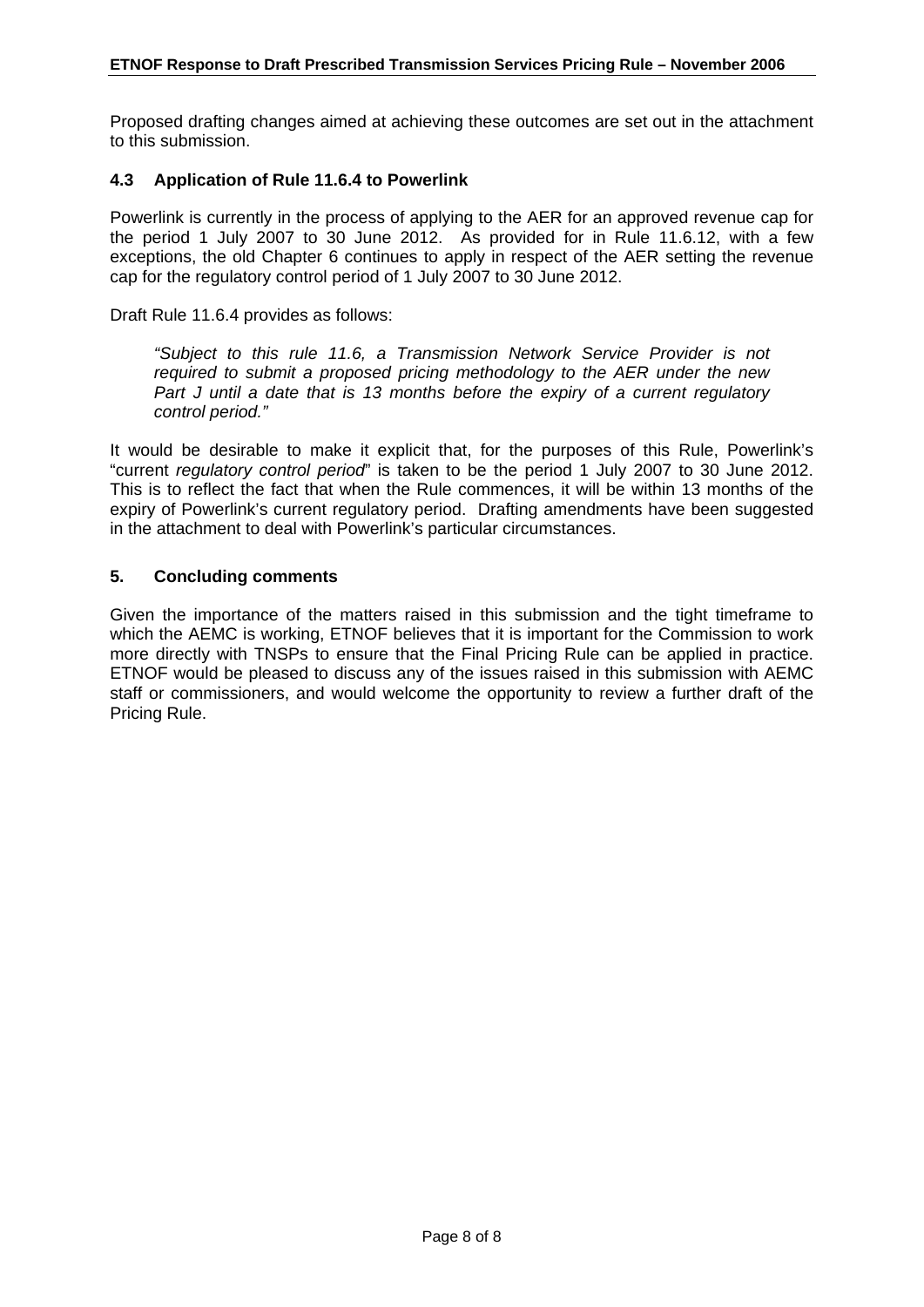Proposed drafting changes aimed at achieving these outcomes are set out in the attachment to this submission.

#### **4.3 Application of Rule 11.6.4 to Powerlink**

Powerlink is currently in the process of applying to the AER for an approved revenue cap for the period 1 July 2007 to 30 June 2012. As provided for in Rule 11.6.12, with a few exceptions, the old Chapter 6 continues to apply in respect of the AER setting the revenue cap for the regulatory control period of 1 July 2007 to 30 June 2012.

Draft Rule 11.6.4 provides as follows:

*"Subject to this rule 11.6, a Transmission Network Service Provider is not required to submit a proposed pricing methodology to the AER under the new*  Part J until a date that is 13 months before the expiry of a current regulatory *control period."* 

It would be desirable to make it explicit that, for the purposes of this Rule, Powerlink's "current *regulatory control period*" is taken to be the period 1 July 2007 to 30 June 2012. This is to reflect the fact that when the Rule commences, it will be within 13 months of the expiry of Powerlink's current regulatory period. Drafting amendments have been suggested in the attachment to deal with Powerlink's particular circumstances.

#### **5. Concluding comments**

Given the importance of the matters raised in this submission and the tight timeframe to which the AEMC is working, ETNOF believes that it is important for the Commission to work more directly with TNSPs to ensure that the Final Pricing Rule can be applied in practice. ETNOF would be pleased to discuss any of the issues raised in this submission with AEMC staff or commissioners, and would welcome the opportunity to review a further draft of the Pricing Rule.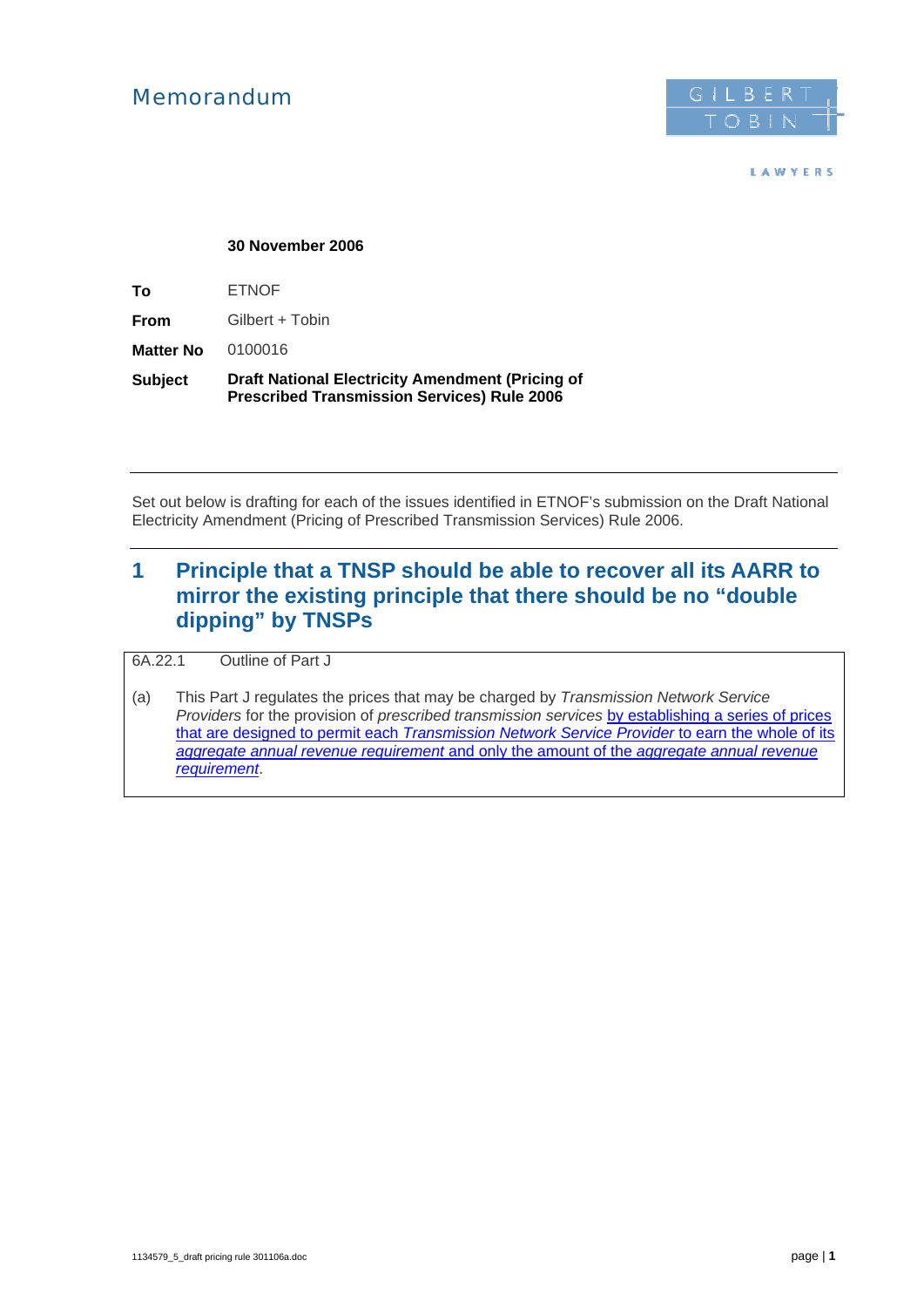## Memorandum



LAWYERS

#### **30 November 2006**

**To** ETNOF

**From** Gilbert + Tobin

**Matter No** 0100016

**Subject Draft National Electricity Amendment (Pricing of Prescribed Transmission Services) Rule 2006** 

Set out below is drafting for each of the issues identified in ETNOF's submission on the Draft National Electricity Amendment (Pricing of Prescribed Transmission Services) Rule 2006.

## **1 Principle that a TNSP should be able to recover all its AARR to mirror the existing principle that there should be no "double dipping" by TNSPs**

6A.22.1 Outline of Part J

(a) This Part J regulates the prices that may be charged by *Transmission Network Service Providers* for the provision of *prescribed transmission services* by establishing a series of prices that are designed to permit each *Transmission Network Service Provider* to earn the whole of its *aggregate annual revenue requirement* and only the amount of the *aggregate annual revenue requirement*.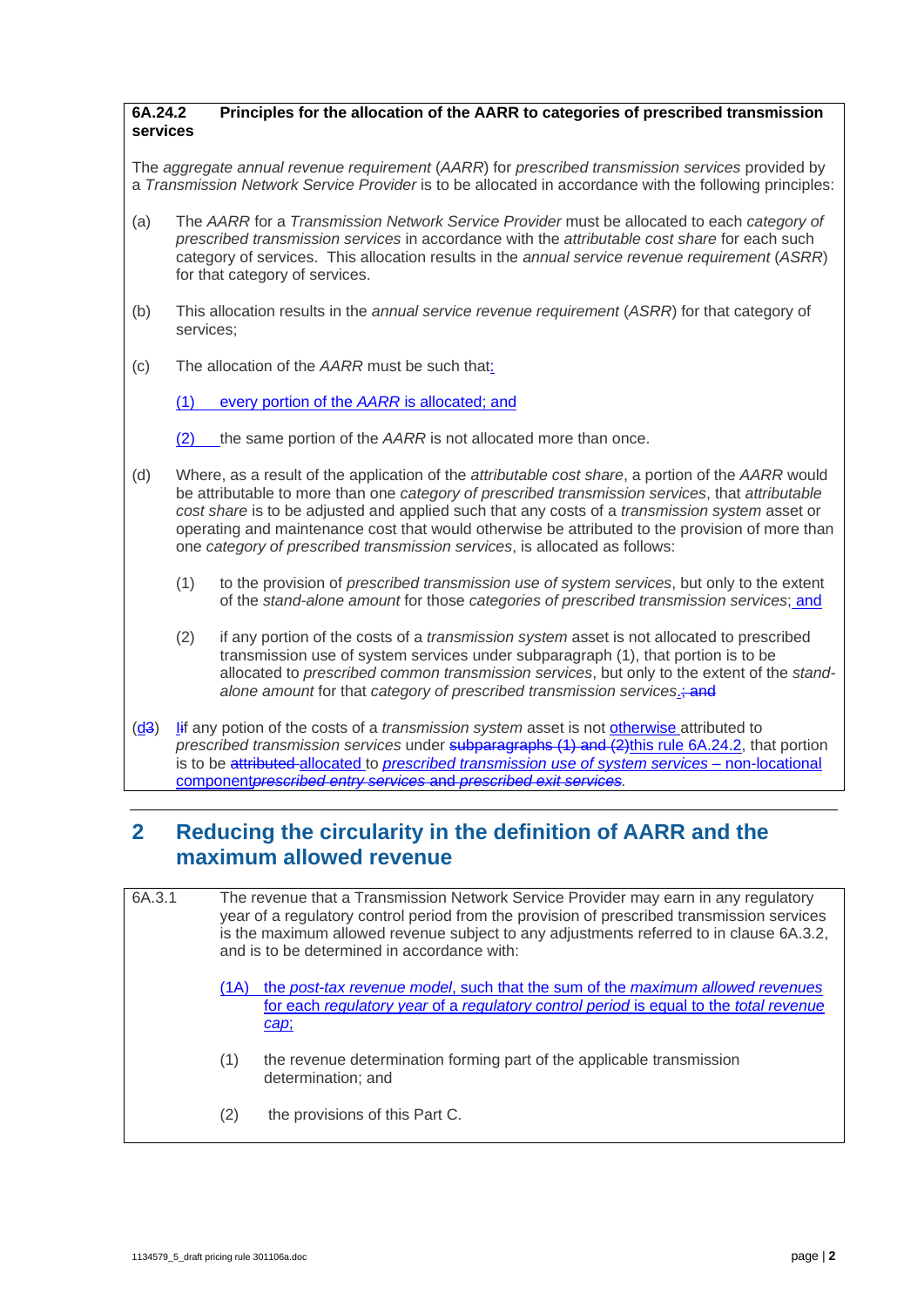#### **6A.24.2 Principles for the allocation of the AARR to categories of prescribed transmission services**

The *aggregate annual revenue requirement* (*AARR*) for *prescribed transmission services* provided by a *Transmission Network Service Provider* is to be allocated in accordance with the following principles:

- (a) The *AARR* for a *Transmission Network Service Provider* must be allocated to each *category of prescribed transmission services* in accordance with the *attributable cost share* for each such category of services. This allocation results in the *annual service revenue requirement* (*ASRR*) for that category of services.
- (b) This allocation results in the *annual service revenue requirement* (*ASRR*) for that category of services;
- (c) The allocation of the *AARR* must be such that:

(1) every portion of the *AARR* is allocated; and

(2) the same portion of the *AARR* is not allocated more than once.

- (d) Where, as a result of the application of the *attributable cost share*, a portion of the *AARR* would be attributable to more than one *category of prescribed transmission services*, that *attributable cost share* is to be adjusted and applied such that any costs of a *transmission system* asset or operating and maintenance cost that would otherwise be attributed to the provision of more than one *category of prescribed transmission services*, is allocated as follows:
	- (1) to the provision of *prescribed transmission use of system services*, but only to the extent of the *stand-alone amount* for those *categories of prescribed transmission services*; and
	- (2) if any portion of the costs of a *transmission system* asset is not allocated to prescribed transmission use of system services under subparagraph (1), that portion is to be allocated to *prescribed common transmission services*, but only to the extent of the *standalone amount* for that *category of prescribed transmission services*.; and
- (d3) Iif any potion of the costs of a *transmission system* asset is not otherwise attributed to *prescribed transmission services* under subparagraphs (1) and (2)this rule 6A.24.2, that portion is to be attributed allocated to *prescribed transmission use of system services –* non-locational component*prescribed entry services* and *prescribed exit services.*

## **2 Reducing the circularity in the definition of AARR and the maximum allowed revenue**

6A.3.1 The revenue that a Transmission Network Service Provider may earn in any regulatory year of a regulatory control period from the provision of prescribed transmission services is the maximum allowed revenue subject to any adjustments referred to in clause 6A.3.2, and is to be determined in accordance with: (1A) the *post-tax revenue model*, such that the sum of the *maximum allowed revenues* for each *regulatory year* of a *regulatory control period* is equal to the *total revenue cap*; (1) the revenue determination forming part of the applicable transmission determination; and (2) the provisions of this Part C.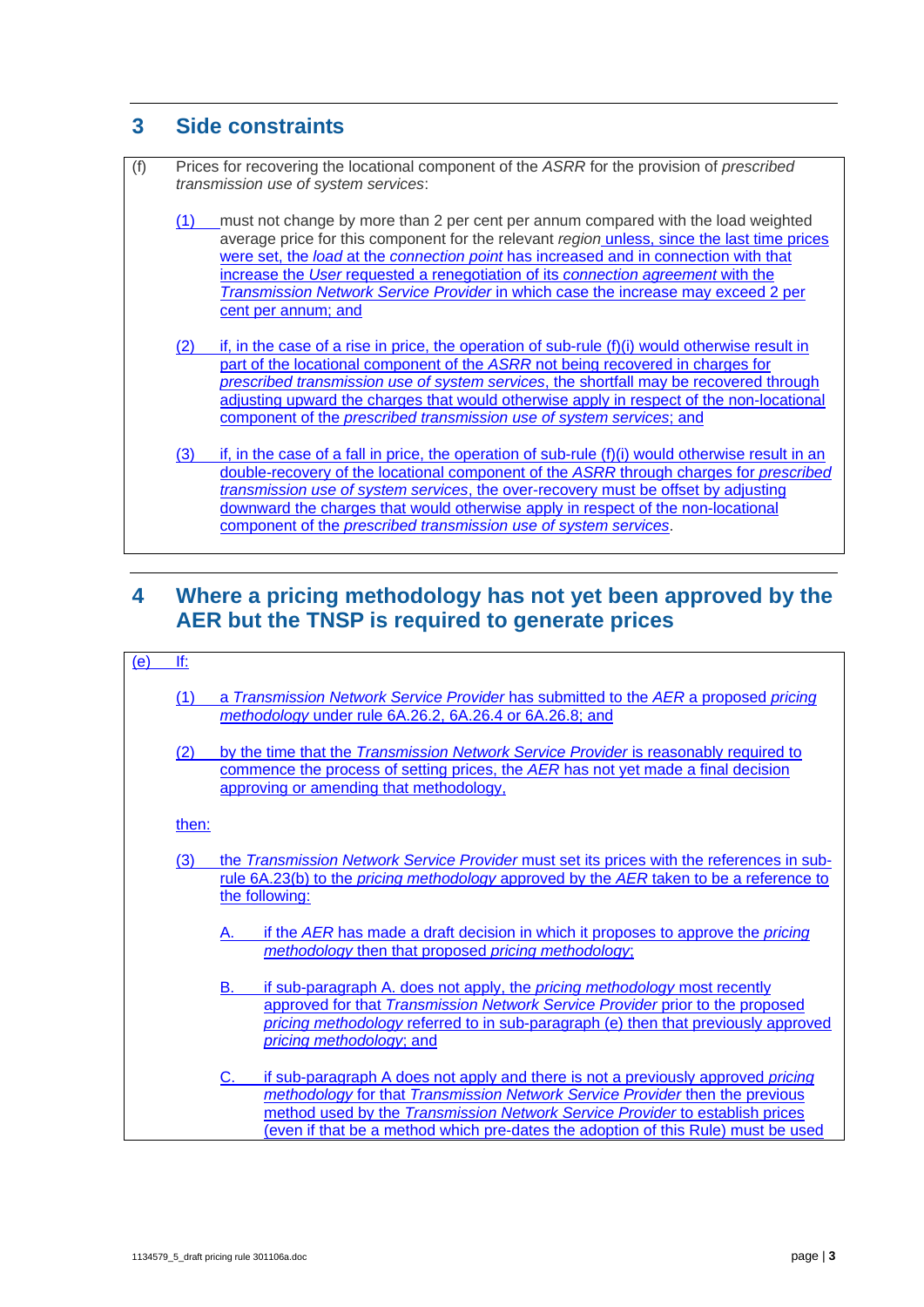## **3 Side constraints**

(f) Prices for recovering the locational component of the *ASRR* for the provision of *prescribed transmission use of system services*: (1) must not change by more than 2 per cent per annum compared with the load weighted average price for this component for the relevant *region* unless, since the last time prices were set, the *load* at the *connection point* has increased and in connection with that increase the *User* requested a renegotiation of its *connection agreement* with the *Transmission Network Service Provider* in which case the increase may exceed 2 per cent per annum; and  $(2)$  if, in the case of a rise in price, the operation of sub-rule  $(f)(i)$  would otherwise result in part of the locational component of the *ASRR* not being recovered in charges for *prescribed transmission use of system services*, the shortfall may be recovered through adjusting upward the charges that would otherwise apply in respect of the non-locational component of the *prescribed transmission use of system services*; and (3) if, in the case of a fall in price, the operation of sub-rule  $(f)(i)$  would otherwise result in an double-recovery of the locational component of the *ASRR* through charges for *prescribed transmission use of system services*, the over-recovery must be offset by adjusting downward the charges that would otherwise apply in respect of the non-locational component of the *prescribed transmission use of system services*.

## **4 Where a pricing methodology has not yet been approved by the AER but the TNSP is required to generate prices**

#### $(e)$  If:

- (1) a *Transmission Network Service Provider* has submitted to the *AER* a proposed *pricing methodology* under rule 6A.26.2, 6A.26.4 or 6A.26.8; and
- (2) by the time that the *Transmission Network Service Provider* is reasonably required to commence the process of setting prices, the *AER* has not yet made a final decision approving or amending that methodology,

then:

- (3) the *Transmission Network Service Provider* must set its prices with the references in subrule 6A.23(b) to the *pricing methodology* approved by the *AER* taken to be a reference to the following:
	- A. if the *AER* has made a draft decision in which it proposes to approve the *pricing methodology* then that proposed *pricing methodology*;
	- B. if sub-paragraph A. does not apply, the *pricing methodology* most recently approved for that *Transmission Network Service Provider* prior to the proposed *pricing methodology* referred to in sub-paragraph (e) then that previously approved *pricing methodology*; and

#### C. if sub-paragraph A does not apply and there is not a previously approved *pricing methodology* for that *Transmission Network Service Provider* then the previous method used by the *Transmission Network Service Provider* to establish prices (even if that be a method which pre-dates the adoption of this Rule) must be used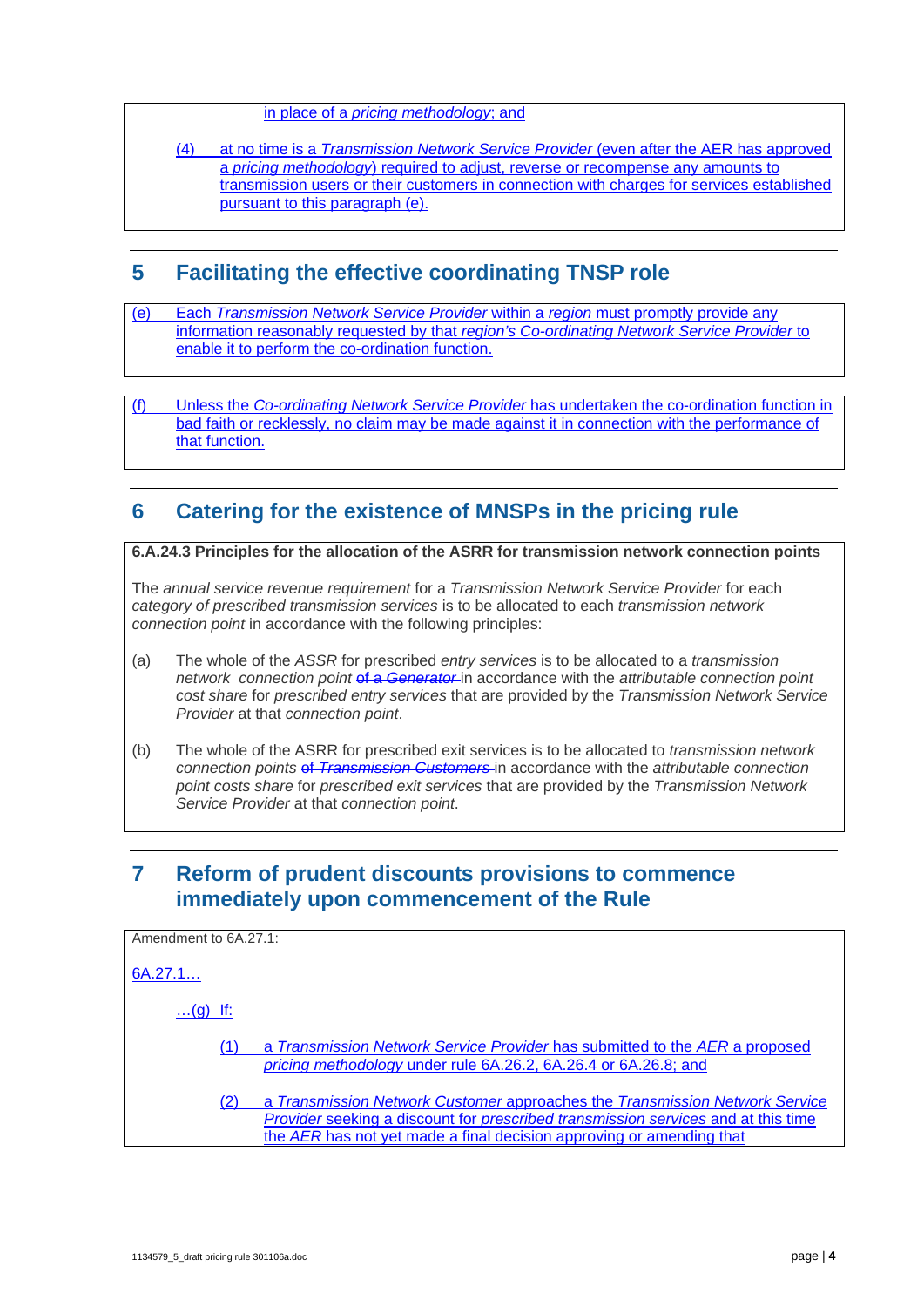#### in place of a *pricing methodology*; and

#### (4) at no time is a *Transmission Network Service Provider* (even after the AER has approved a *pricing methodology*) required to adjust, reverse or recompense any amounts to transmission users or their customers in connection with charges for services established pursuant to this paragraph (e).

## **5 Facilitating the effective coordinating TNSP role**

(e) Each *Transmission Network Service Provider* within a *region* must promptly provide any information reasonably requested by that *region's Co-ordinating Network Service Provider* to enable it to perform the co-ordination function.

(f) Unless the *Co-ordinating Network Service Provider* has undertaken the co-ordination function in bad faith or recklessly, no claim may be made against it in connection with the performance of that function.

## **6 Catering for the existence of MNSPs in the pricing rule**

**6.A.24.3 Principles for the allocation of the ASRR for transmission network connection points** 

The *annual service revenue requirement* for a *Transmission Network Service Provider* for each *category of prescribed transmission services* is to be allocated to each *transmission network connection point* in accordance with the following principles:

- (a) The whole of the *ASSR* for prescribed *entry services* is to be allocated to a *transmission network connection point* of a *Generator*-in accordance with the *attributable connection point cost share* for *prescribed entry services* that are provided by the *Transmission Network Service Provider* at that *connection point*.
- (b) The whole of the ASRR for prescribed exit services is to be allocated to *transmission network connection points* of *Transmission Customers* in accordance with the *attributable connection point costs share* for *prescribed exit services* that are provided by the *Transmission Network Service Provider* at that *connection point*.

## **7 Reform of prudent discounts provisions to commence immediately upon commencement of the Rule**

| Amendment to 6A.27.1:                                                                                                                                                                                                                           |  |  |
|-------------------------------------------------------------------------------------------------------------------------------------------------------------------------------------------------------------------------------------------------|--|--|
| 6A.27.1                                                                                                                                                                                                                                         |  |  |
| $$ (g) If:                                                                                                                                                                                                                                      |  |  |
| a Transmission Network Service Provider has submitted to the AER a proposed<br>pricing methodology under rule 6A.26.2, 6A.26.4 or 6A.26.8; and                                                                                                  |  |  |
| a Transmission Network Customer approaches the Transmission Network Service<br>(2)<br>Provider seeking a discount for prescribed transmission services and at this time<br>the AER has not yet made a final decision approving or amending that |  |  |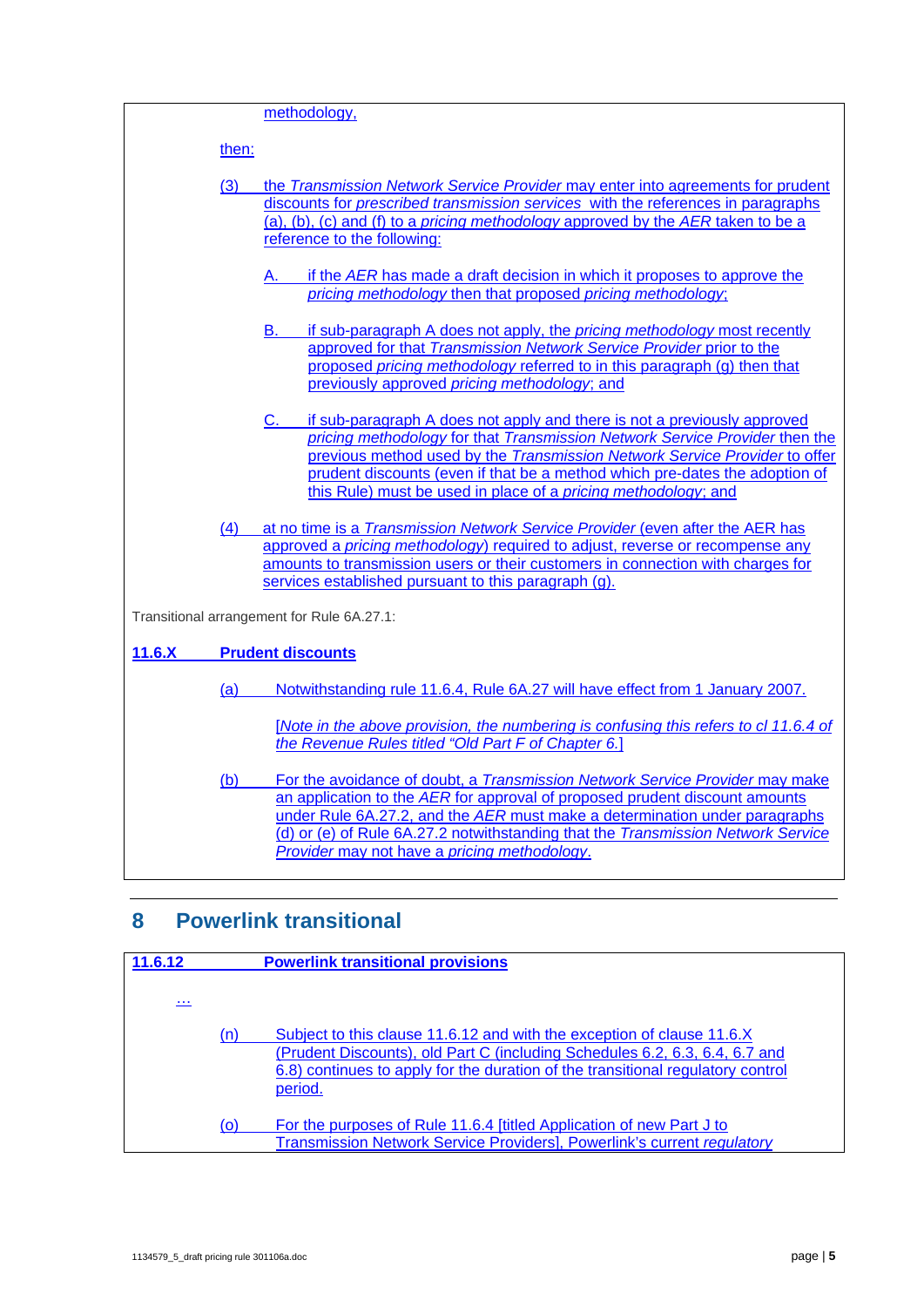|                                            | methodology,                                                                                                                                                                                                                                                                                                                                                                                         |  |  |
|--------------------------------------------|------------------------------------------------------------------------------------------------------------------------------------------------------------------------------------------------------------------------------------------------------------------------------------------------------------------------------------------------------------------------------------------------------|--|--|
|                                            |                                                                                                                                                                                                                                                                                                                                                                                                      |  |  |
| then:                                      |                                                                                                                                                                                                                                                                                                                                                                                                      |  |  |
| (3)                                        | the Transmission Network Service Provider may enter into agreements for prudent<br>discounts for prescribed transmission services with the references in paragraphs<br>(a), (b), (c) and (f) to a <i>pricing methodology</i> approved by the AER taken to be a<br>reference to the following:                                                                                                        |  |  |
|                                            | if the AER has made a draft decision in which it proposes to approve the<br>А.<br>pricing methodology then that proposed pricing methodology;                                                                                                                                                                                                                                                        |  |  |
|                                            | if sub-paragraph A does not apply, the pricing methodology most recently<br>B.<br>approved for that Transmission Network Service Provider prior to the<br>proposed pricing methodology referred to in this paragraph (g) then that<br>previously approved pricing methodology; and                                                                                                                   |  |  |
|                                            | if sub-paragraph A does not apply and there is not a previously approved<br>C.<br>pricing methodology for that Transmission Network Service Provider then the<br>previous method used by the Transmission Network Service Provider to offer<br>prudent discounts (even if that be a method which pre-dates the adoption of<br>this Rule) must be used in place of a <i>pricing methodology</i> ; and |  |  |
| (4)                                        | at no time is a Transmission Network Service Provider (even after the AER has<br>approved a pricing methodology) required to adjust, reverse or recompense any<br>amounts to transmission users or their customers in connection with charges for<br>services established pursuant to this paragraph (g).                                                                                            |  |  |
| Transitional arrangement for Rule 6A.27.1: |                                                                                                                                                                                                                                                                                                                                                                                                      |  |  |
| 11.6.X                                     | <b>Prudent discounts</b>                                                                                                                                                                                                                                                                                                                                                                             |  |  |
| <u>(a)</u>                                 | Notwithstanding rule 11.6.4, Rule 6A.27 will have effect from 1 January 2007.                                                                                                                                                                                                                                                                                                                        |  |  |
|                                            | [Note in the above provision, the numbering is confusing this refers to cl 11.6.4 of<br>the Revenue Rules titled "Old Part F of Chapter 6.]                                                                                                                                                                                                                                                          |  |  |
| (b)                                        | For the avoidance of doubt, a Transmission Network Service Provider may make<br>an application to the AER for approval of proposed prudent discount amounts<br>under Rule 6A.27.2, and the AER must make a determination under paragraphs<br>(d) or (e) of Rule 6A.27.2 notwithstanding that the Transmission Network Service<br>Provider may not have a pricing methodology.                        |  |  |

## **8 Powerlink transitional**

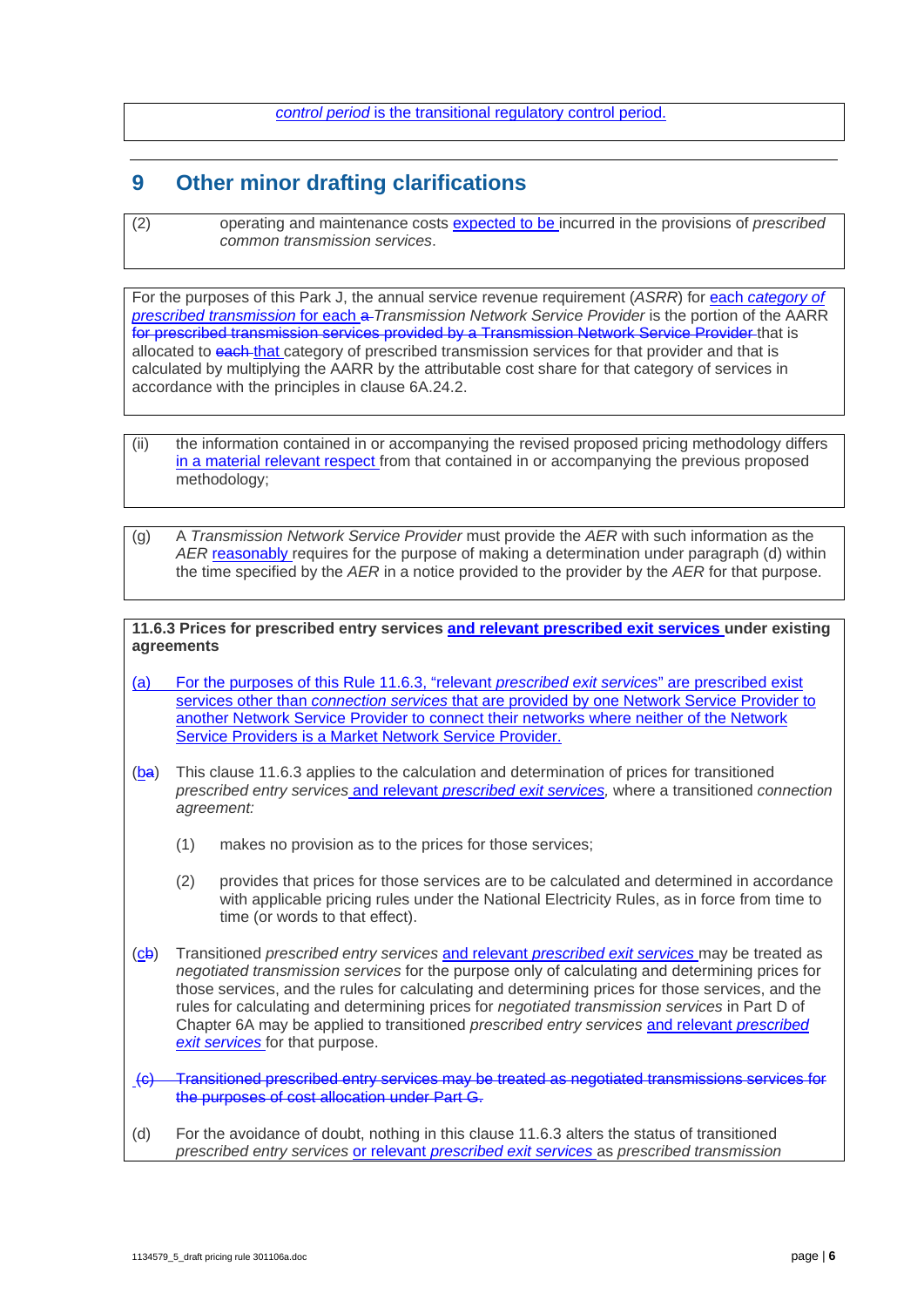#### *control period* is the transitional regulatory control period.

## **9 Other minor drafting clarifications**

(2) operating and maintenance costs expected to be incurred in the provisions of *prescribed common transmission services*.

For the purposes of this Park J, the annual service revenue requirement (ASRR) for each category of *prescribed transmission* for each a *Transmission Network Service Provider* is the portion of the AARR for prescribed transmission services provided by a Transmission Network Service Provider that is allocated to each that category of prescribed transmission services for that provider and that is calculated by multiplying the AARR by the attributable cost share for that category of services in accordance with the principles in clause 6A.24.2.

- (ii) the information contained in or accompanying the revised proposed pricing methodology differs in a material relevant respect from that contained in or accompanying the previous proposed methodology;
- (g) A *Transmission Network Service Provider* must provide the *AER* with such information as the *AER* reasonably requires for the purpose of making a determination under paragraph (d) within the time specified by the *AER* in a notice provided to the provider by the *AER* for that purpose.

**11.6.3 Prices for prescribed entry services and relevant prescribed exit services under existing agreements** 

- (a) For the purposes of this Rule 11.6.3, "relevant *prescribed exit services*" are prescribed exist services other than *connection services* that are provided by one Network Service Provider to another Network Service Provider to connect their networks where neither of the Network Service Providers is a Market Network Service Provider.
- (ba) This clause 11.6.3 applies to the calculation and determination of prices for transitioned *prescribed entry services* and relevant *prescribed exit services,* where a transitioned *connection agreement:* 
	- (1) makes no provision as to the prices for those services;
	- (2) provides that prices for those services are to be calculated and determined in accordance with applicable pricing rules under the National Electricity Rules, as in force from time to time (or words to that effect).
- (cb) Transitioned *prescribed entry services* and relevant *prescribed exit services* may be treated as *negotiated transmission services* for the purpose only of calculating and determining prices for those services, and the rules for calculating and determining prices for those services, and the rules for calculating and determining prices for *negotiated transmission services* in Part D of Chapter 6A may be applied to transitioned *prescribed entry services* and relevant *prescribed exit services* for that purpose.
- (c) Transitioned prescribed entry services may be treated as negotiated transmissions services for the purposes of cost allocation under Part G.
- (d) For the avoidance of doubt, nothing in this clause 11.6.3 alters the status of transitioned *prescribed entry services* or relevant *prescribed exit services* as *prescribed transmission*